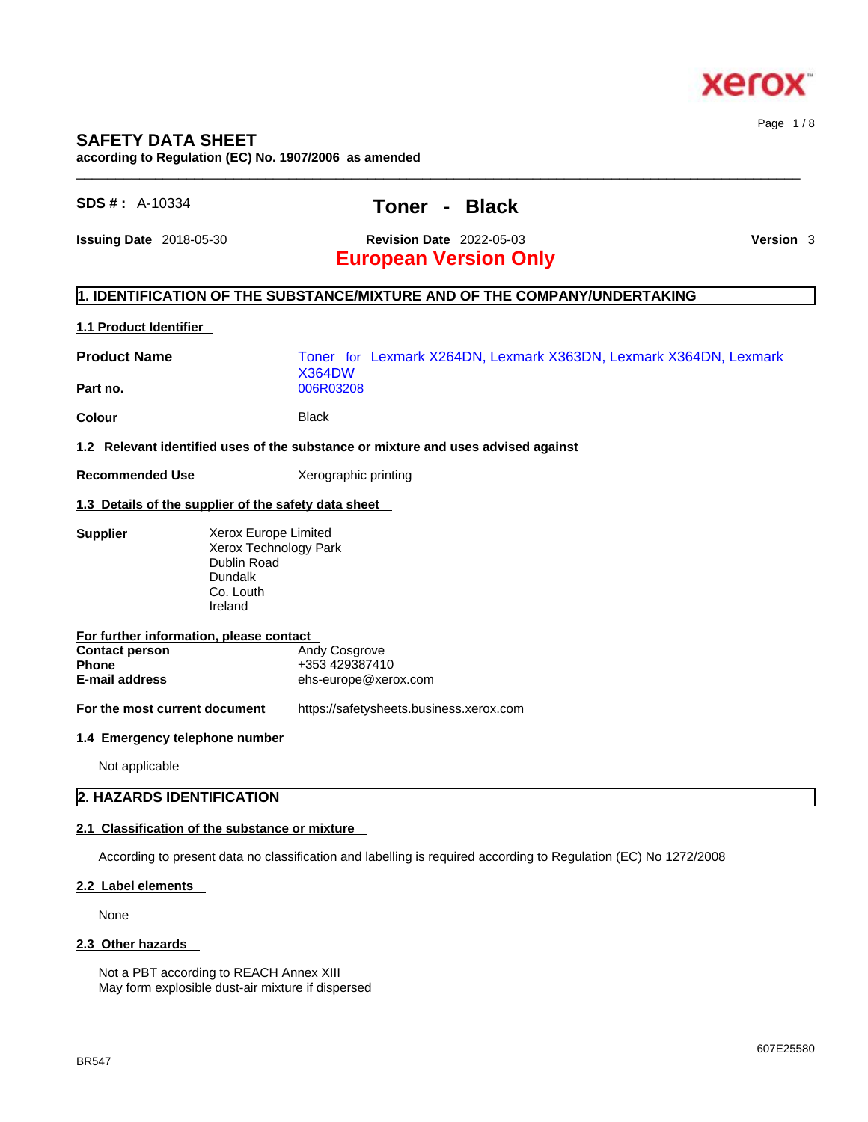

## **SAFETY DATA SHEET**

**according to Regulation (EC) No. 1907/2006 as amended** 

# **SDS # :** A-10334 **Toner - Black**

 $\_$  ,  $\_$  ,  $\_$  ,  $\_$  ,  $\_$  ,  $\_$  ,  $\_$  ,  $\_$  ,  $\_$  ,  $\_$  ,  $\_$  ,  $\_$  ,  $\_$  ,  $\_$  ,  $\_$  ,  $\_$  ,  $\_$  ,  $\_$  ,  $\_$  ,  $\_$  ,  $\_$  ,  $\_$  ,  $\_$  ,  $\_$  ,  $\_$  ,  $\_$  ,  $\_$  ,  $\_$  ,  $\_$  ,  $\_$  ,  $\_$  ,  $\_$  ,  $\_$  ,  $\_$  ,  $\_$  ,  $\_$  ,  $\_$  ,

**Issuing Date** 2018-05-30 **Revision Date** 2022-05-03 **Version** 3

Page 1 / 8

# **European Version Only**

#### **1. IDENTIFICATION OF THE SUBSTANCE/MIXTURE AND OF THE COMPANY/UNDERTAKING**

#### **1.1 Product Identifier**

| <b>Product Name</b>                                     | Toner for Lexmark X264DN, Lexmark X363DN, Lexmark X364DN, Lexmark<br><b>X364DW</b>              |  |  |  |  |
|---------------------------------------------------------|-------------------------------------------------------------------------------------------------|--|--|--|--|
| Part no.                                                | 006R03208                                                                                       |  |  |  |  |
| Colour                                                  | <b>Black</b>                                                                                    |  |  |  |  |
|                                                         | 1.2 Relevant identified uses of the substance or mixture and uses advised against               |  |  |  |  |
| <b>Recommended Use</b>                                  | Xerographic printing                                                                            |  |  |  |  |
|                                                         | 1.3 Details of the supplier of the safety data sheet                                            |  |  |  |  |
| <b>Supplier</b>                                         | Xerox Europe Limited<br>Xerox Technology Park<br>Dublin Road<br>Dundalk<br>Co. Louth<br>Ireland |  |  |  |  |
|                                                         | For further information, please contact                                                         |  |  |  |  |
| <b>Contact person</b><br><b>Phone</b><br>E-mail address | Andy Cosgrove<br>+353 429387410<br>ehs-europe@xerox.com                                         |  |  |  |  |
| For the most current document                           | https://safetysheets.business.xerox.com                                                         |  |  |  |  |
| 1.4 Emergency telephone number                          |                                                                                                 |  |  |  |  |
| Not applicable                                          |                                                                                                 |  |  |  |  |
|                                                         |                                                                                                 |  |  |  |  |

#### **2. HAZARDS IDENTIFICATION**

#### **2.1 Classification of the substance or mixture**

According to present data no classification and labelling is required according to Regulation (EC) No 1272/2008

#### **2.2 Label elements**

None

#### **2.3 Other hazards**

Not a PBT according to REACH Annex XIII May form explosible dust-air mixture if dispersed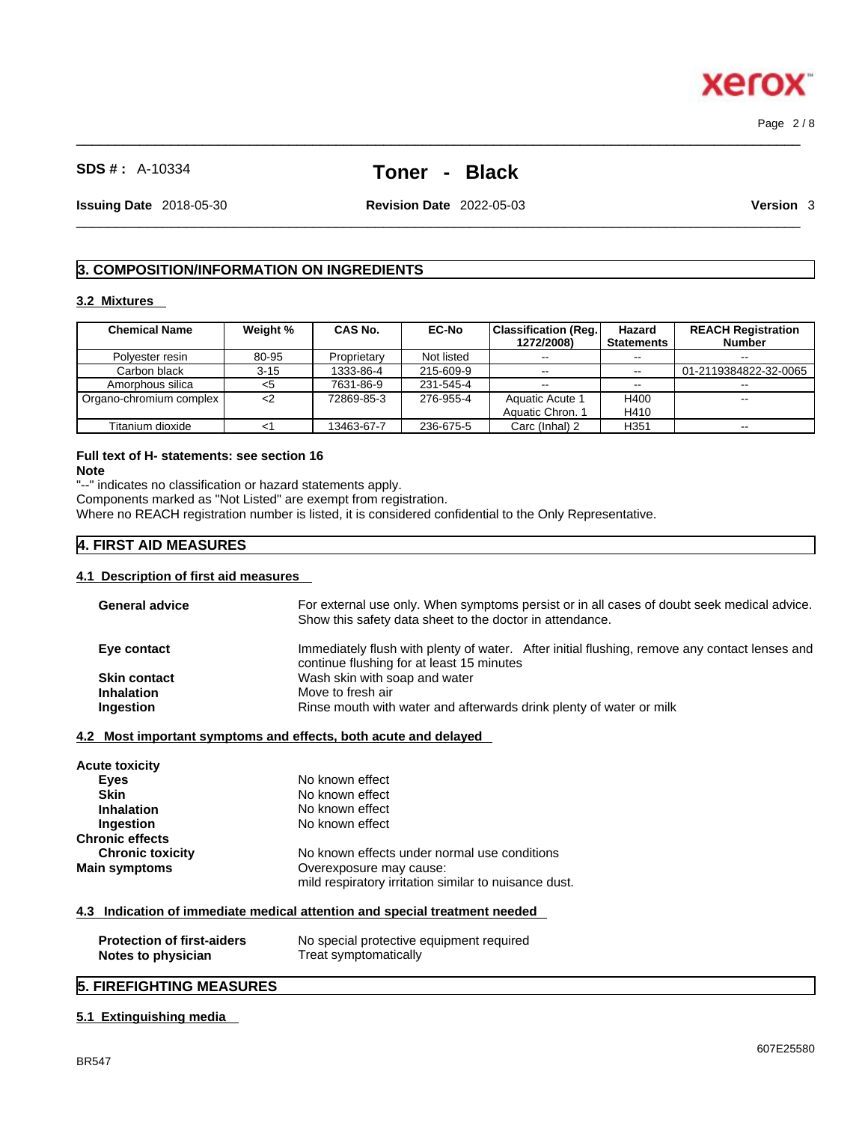$\_$  ,  $\_$  ,  $\_$  ,  $\_$  ,  $\_$  ,  $\_$  ,  $\_$  ,  $\_$  ,  $\_$  ,  $\_$  ,  $\_$  ,  $\_$  ,  $\_$  ,  $\_$  ,  $\_$  ,  $\_$  ,  $\_$  ,  $\_$  ,  $\_$  ,  $\_$  ,  $\_$  ,  $\_$  ,  $\_$  ,  $\_$  ,  $\_$  ,  $\_$  ,  $\_$  ,  $\_$  ,  $\_$  ,  $\_$  ,  $\_$  ,  $\_$  ,  $\_$  ,  $\_$  ,  $\_$  ,  $\_$  ,  $\_$  , Page 2 / 8

**Xerox** 

# **SDS # :** A-10334 **Toner - Black**

**Issuing Date** 2018-05-30 **Revision Date** 2022-05-03 **Version** 3

 $\_$  ,  $\_$  ,  $\_$  ,  $\_$  ,  $\_$  ,  $\_$  ,  $\_$  ,  $\_$  ,  $\_$  ,  $\_$  ,  $\_$  ,  $\_$  ,  $\_$  ,  $\_$  ,  $\_$  ,  $\_$  ,  $\_$  ,  $\_$  ,  $\_$  ,  $\_$  ,  $\_$  ,  $\_$  ,  $\_$  ,  $\_$  ,  $\_$  ,  $\_$  ,  $\_$  ,  $\_$  ,  $\_$  ,  $\_$  ,  $\_$  ,  $\_$  ,  $\_$  ,  $\_$  ,  $\_$  ,  $\_$  ,  $\_$  ,

#### **3. COMPOSITION/INFORMATION ON INGREDIENTS**

#### **3.2 Mixtures**

| <b>Chemical Name</b>    | Weight % | <b>CAS No.</b> | <b>EC-No</b> | <b>Classification (Reg.)</b><br>1272/2008) | Hazard<br><b>Statements</b> | <b>REACH Registration</b><br><b>Number</b> |
|-------------------------|----------|----------------|--------------|--------------------------------------------|-----------------------------|--------------------------------------------|
| Polyester resin         | 80-95    | Proprietary    | Not listed   | $- -$                                      |                             |                                            |
| Carbon black            | $3 - 15$ | 1333-86-4      | 215-609-9    | $\sim$ $\sim$                              |                             | 01-2119384822-32-0065                      |
| Amorphous silica        | <5       | 7631-86-9      | 231-545-4    | $\sim$ $\sim$                              | $- -$                       |                                            |
| Organo-chromium complex | <2       | 72869-85-3     | 276-955-4    | Aquatic Acute 1                            | H400                        | $- -$                                      |
|                         |          |                |              | Aquatic Chron, 1                           | H410                        |                                            |
| Titanium dioxide        |          | 13463-67-7     | 236-675-5    | Carc (Inhal) 2                             | H <sub>351</sub>            | $- -$                                      |

#### **Full text of H- statements: see section 16 Note**

"--" indicates no classification or hazard statements apply.

Components marked as "Not Listed" are exempt from registration.

Where no REACH registration number is listed, it is considered confidential to the Only Representative.

### **4. FIRST AID MEASURES**

#### **4.1 Description of first aid measures**

| <b>General advice</b>                                   | For external use only. When symptoms persist or in all cases of doubt seek medical advice.<br>Show this safety data sheet to the doctor in attendance. |
|---------------------------------------------------------|--------------------------------------------------------------------------------------------------------------------------------------------------------|
| Eye contact                                             | Immediately flush with plenty of water. After initial flushing, remove any contact lenses and<br>continue flushing for at least 15 minutes             |
| <b>Skin contact</b>                                     | Wash skin with soap and water                                                                                                                          |
| <b>Inhalation</b>                                       | Move to fresh air                                                                                                                                      |
| Ingestion                                               | Rinse mouth with water and afterwards drink plenty of water or milk                                                                                    |
|                                                         |                                                                                                                                                        |
|                                                         | 4.2 Most important symptoms and effects, both acute and delayed                                                                                        |
| Acute toxicity                                          |                                                                                                                                                        |
| <b>Eyes</b>                                             | No known effect                                                                                                                                        |
| Skin                                                    | No known effect                                                                                                                                        |
| <b>Inhalation</b>                                       | No known effect                                                                                                                                        |
| Ingestion                                               | No known effect                                                                                                                                        |
| <b>Chronic effects</b>                                  |                                                                                                                                                        |
| <b>Chronic toxicity</b>                                 | No known effects under normal use conditions                                                                                                           |
| <b>Main symptoms</b>                                    | Overexposure may cause:                                                                                                                                |
|                                                         | mild respiratory irritation similar to nuisance dust.                                                                                                  |
|                                                         | 4.3 Indication of immediate medical attention and special treatment needed                                                                             |
| <b>Protection of first-aiders</b><br>Notes to physician | No special protective equipment required<br>Treat symptomatically                                                                                      |
|                                                         |                                                                                                                                                        |

## **5. FIREFIGHTING MEASURES**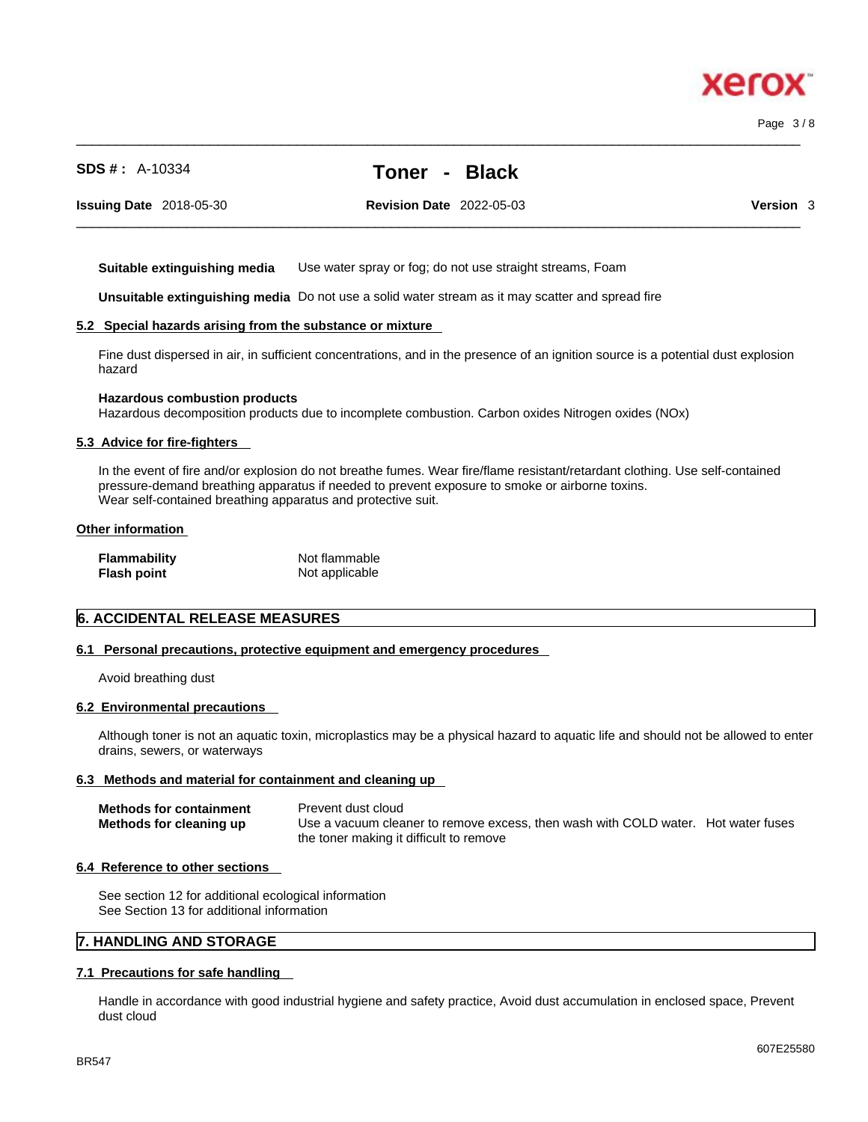# 607E25580

**SDS # :** A-10334 **Toner - Black**

 $\_$  ,  $\_$  ,  $\_$  ,  $\_$  ,  $\_$  ,  $\_$  ,  $\_$  ,  $\_$  ,  $\_$  ,  $\_$  ,  $\_$  ,  $\_$  ,  $\_$  ,  $\_$  ,  $\_$  ,  $\_$  ,  $\_$  ,  $\_$  ,  $\_$  ,  $\_$  ,  $\_$  ,  $\_$  ,  $\_$  ,  $\_$  ,  $\_$  ,  $\_$  ,  $\_$  ,  $\_$  ,  $\_$  ,  $\_$  ,  $\_$  ,  $\_$  ,  $\_$  ,  $\_$  ,  $\_$  ,  $\_$  ,  $\_$  ,

 $\_$  ,  $\_$  ,  $\_$  ,  $\_$  ,  $\_$  ,  $\_$  ,  $\_$  ,  $\_$  ,  $\_$  ,  $\_$  ,  $\_$  ,  $\_$  ,  $\_$  ,  $\_$  ,  $\_$  ,  $\_$  ,  $\_$  ,  $\_$  ,  $\_$  ,  $\_$  ,  $\_$  ,  $\_$  ,  $\_$  ,  $\_$  ,  $\_$  ,  $\_$  ,  $\_$  ,  $\_$  ,  $\_$  ,  $\_$  ,  $\_$  ,  $\_$  ,  $\_$  ,  $\_$  ,  $\_$  ,  $\_$  ,  $\_$  , **Issuing Date** 2018-05-30 **Revision Date** 2022-05-03 **Version** 3

**Suitable extinguishing media** Use water spray or fog; do not use straight streams, Foam

**Unsuitable extinguishing media** Do not use a solid water stream as it may scatterand spread fire

#### **5.2 Special hazards arising from the substance or mixture**

Fine dust dispersed in air, in sufficient concentrations, and in the presence of an ignition source is a potential dust explosion hazard

#### **Hazardous combustion products**

Hazardous decomposition products due to incomplete combustion. Carbon oxides Nitrogen oxides (NOx)

#### **5.3 Advice for fire-fighters**

In the event of fire and/or explosion do not breathe fumes. Wear fire/flame resistant/retardant clothing. Use self-contained pressure-demand breathing apparatus if needed to prevent exposure to smoke or airborne toxins. Wear self-contained breathing apparatus and protective suit.

#### **Other information**

| Flammability | Not flammable  |
|--------------|----------------|
| Flash point  | Not applicable |

#### **6. ACCIDENTAL RELEASE MEASURES**

#### **6.1 Personal precautions, protective equipment and emergency procedures**

Avoid breathing dust

#### **6.2 Environmental precautions**

Although toner is not an aquatic toxin, microplastics may be a physical hazard to aquatic life and should not be allowed to enter drains, sewers, or waterways

#### **6.3 Methods and material for containment and cleaning up**

| <b>Methods for containment</b> | Prevent dust cloud                                                                |
|--------------------------------|-----------------------------------------------------------------------------------|
| Methods for cleaning up        | Use a vacuum cleaner to remove excess, then wash with COLD water. Hot water fuses |
|                                | the toner making it difficult to remove                                           |

#### **6.4 Reference to other sections**

See section 12 for additional ecological information See Section 13 for additional information

#### **7. HANDLING AND STORAGE**

#### **7.1 Precautions for safe handling**

Handle in accordance with good industrial hygiene and safety practice, Avoid dust accumulation in enclosed space, Prevent dust cloud



Page 3 / 8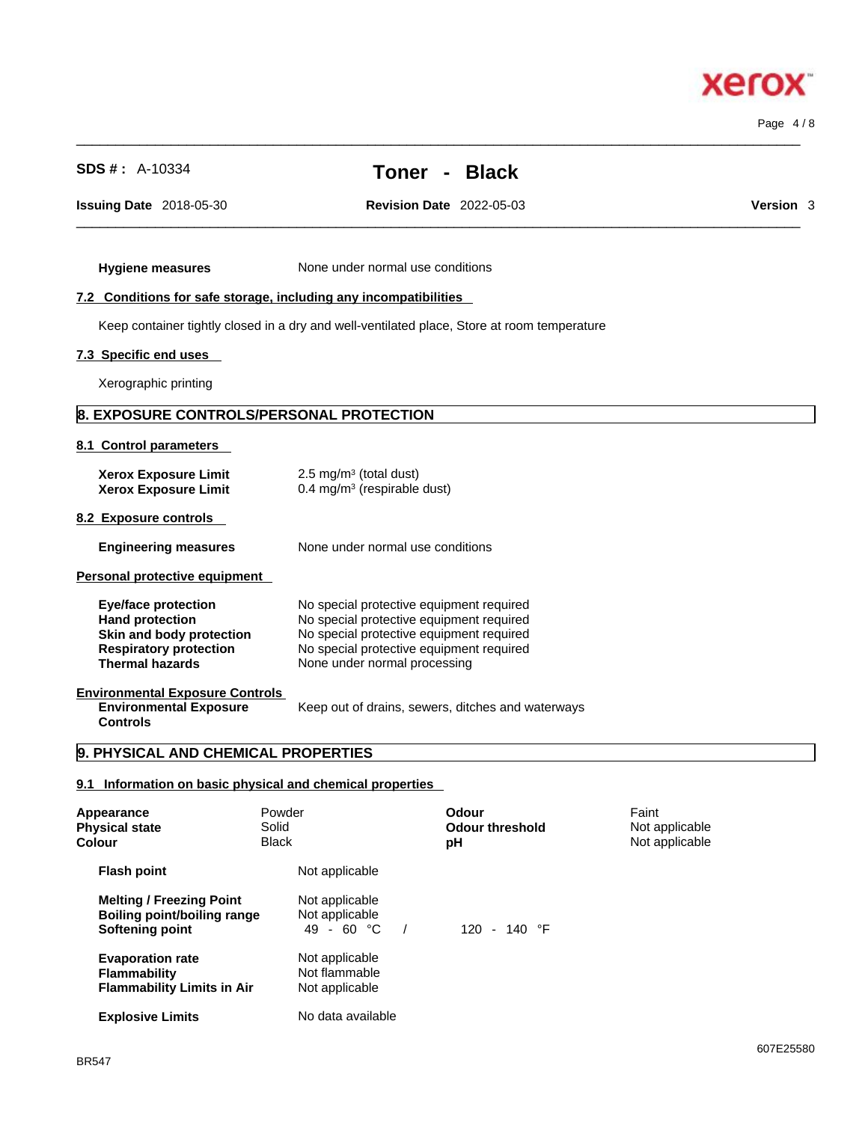# **Xerox**

 $\_$  ,  $\_$  ,  $\_$  ,  $\_$  ,  $\_$  ,  $\_$  ,  $\_$  ,  $\_$  ,  $\_$  ,  $\_$  ,  $\_$  ,  $\_$  ,  $\_$  ,  $\_$  ,  $\_$  ,  $\_$  ,  $\_$  ,  $\_$  ,  $\_$  ,  $\_$  ,  $\_$  ,  $\_$  ,  $\_$  ,  $\_$  ,  $\_$  ,  $\_$  ,  $\_$  ,  $\_$  ,  $\_$  ,  $\_$  ,  $\_$  ,  $\_$  ,  $\_$  ,  $\_$  ,  $\_$  ,  $\_$  ,  $\_$  , Page 4 / 8

| <b>SDS #: A-10334</b>                                                                                                                       | <b>Black</b><br>Toner -                                                                                                                                                                                      |                  |
|---------------------------------------------------------------------------------------------------------------------------------------------|--------------------------------------------------------------------------------------------------------------------------------------------------------------------------------------------------------------|------------------|
| Issuing Date 2018-05-30                                                                                                                     | <b>Revision Date 2022-05-03</b>                                                                                                                                                                              | <b>Version</b> 3 |
| <b>Hygiene measures</b>                                                                                                                     | None under normal use conditions                                                                                                                                                                             |                  |
|                                                                                                                                             | 7.2 Conditions for safe storage, including any incompatibilities                                                                                                                                             |                  |
|                                                                                                                                             | Keep container tightly closed in a dry and well-ventilated place, Store at room temperature                                                                                                                  |                  |
| 7.3 Specific end uses                                                                                                                       |                                                                                                                                                                                                              |                  |
| Xerographic printing                                                                                                                        |                                                                                                                                                                                                              |                  |
| 8. EXPOSURE CONTROLS/PERSONAL PROTECTION                                                                                                    |                                                                                                                                                                                                              |                  |
| 8.1 Control parameters                                                                                                                      |                                                                                                                                                                                                              |                  |
| <b>Xerox Exposure Limit</b><br><b>Xerox Exposure Limit</b>                                                                                  | 2.5 mg/m $3$ (total dust)<br>0.4 mg/m <sup>3</sup> (respirable dust)                                                                                                                                         |                  |
| 8.2 Exposure controls                                                                                                                       |                                                                                                                                                                                                              |                  |
| <b>Engineering measures</b>                                                                                                                 | None under normal use conditions                                                                                                                                                                             |                  |
| <b>Personal protective equipment</b>                                                                                                        |                                                                                                                                                                                                              |                  |
| <b>Eye/face protection</b><br><b>Hand protection</b><br>Skin and body protection<br><b>Respiratory protection</b><br><b>Thermal hazards</b> | No special protective equipment required<br>No special protective equipment required<br>No special protective equipment required<br>No special protective equipment required<br>None under normal processing |                  |
| <b>Environmental Exposure Controls</b><br><b>Environmental Exposure</b><br><b>Controls</b>                                                  | Keep out of drains, sewers, ditches and waterways                                                                                                                                                            |                  |
| 9. PHYSICAL AND CHEMICAL PROPERTIES                                                                                                         |                                                                                                                                                                                                              |                  |
| 9.1 Information on basic physical and chemical properties                                                                                   |                                                                                                                                                                                                              |                  |
| Appearance                                                                                                                                  | Faint<br>Powder<br>Odour                                                                                                                                                                                     |                  |

| <b>Physical state</b><br>Colour                                                          | Solid<br><b>Black</b>                             | <b>Odour threshold</b><br>рH | Not applicable<br>Not applicable |  |
|------------------------------------------------------------------------------------------|---------------------------------------------------|------------------------------|----------------------------------|--|
| <b>Flash point</b>                                                                       | Not applicable                                    |                              |                                  |  |
| <b>Melting / Freezing Point</b><br><b>Boiling point/boiling range</b><br>Softening point | Not applicable<br>Not applicable<br>$49 - 60 °C$  | $120 - 140$ °F               |                                  |  |
| <b>Evaporation rate</b><br><b>Flammability</b><br><b>Flammability Limits in Air</b>      | Not applicable<br>Not flammable<br>Not applicable |                              |                                  |  |
| <b>Explosive Limits</b>                                                                  | No data available                                 |                              |                                  |  |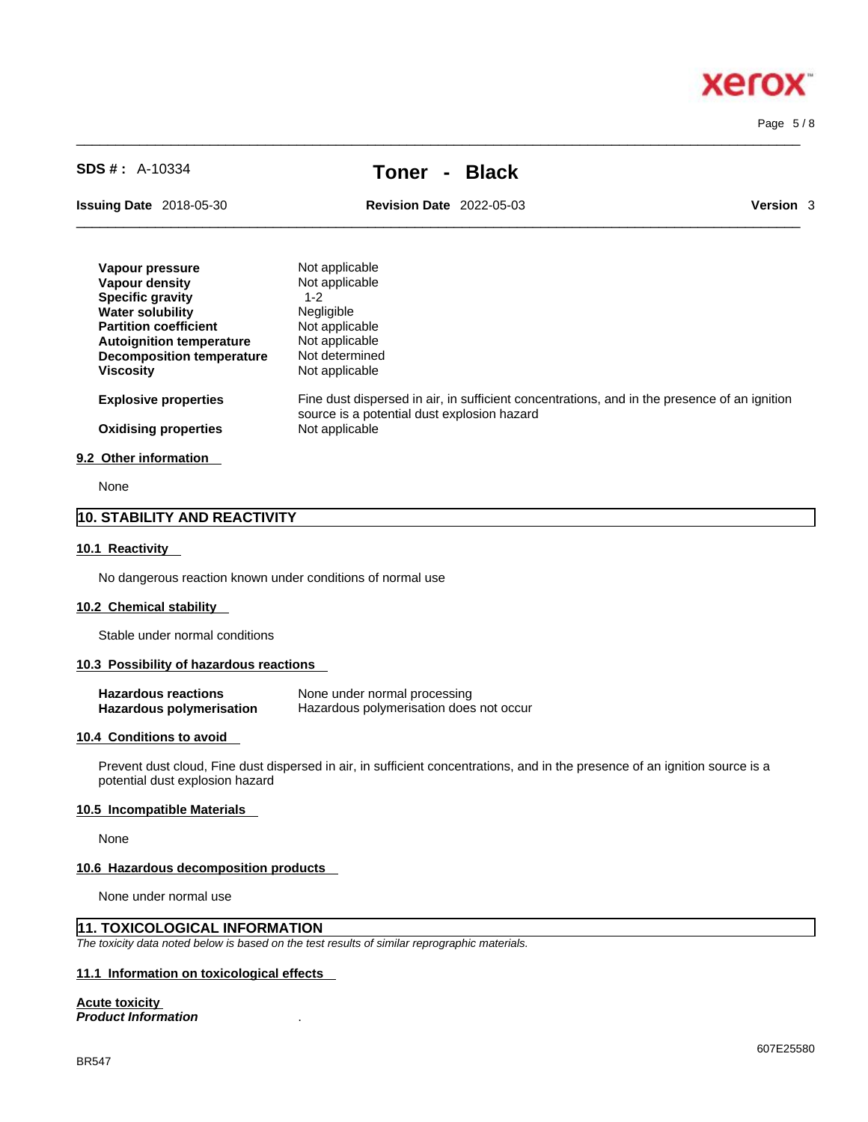x

**Xero** 

# **SDS # :** A-10334 **Toner - Black**

 $\_$  ,  $\_$  ,  $\_$  ,  $\_$  ,  $\_$  ,  $\_$  ,  $\_$  ,  $\_$  ,  $\_$  ,  $\_$  ,  $\_$  ,  $\_$  ,  $\_$  ,  $\_$  ,  $\_$  ,  $\_$  ,  $\_$  ,  $\_$  ,  $\_$  ,  $\_$  ,  $\_$  ,  $\_$  ,  $\_$  ,  $\_$  ,  $\_$  ,  $\_$  ,  $\_$  ,  $\_$  ,  $\_$  ,  $\_$  ,  $\_$  ,  $\_$  ,  $\_$  ,  $\_$  ,  $\_$  ,  $\_$  ,  $\_$  ,

**Issuing Date** 2018-05-30 **Revision Date** 2022-05-03

| Issuing Date | 2018-05-30 | <b>Revision Date</b> | 2022-05-03 | Version |  |
|--------------|------------|----------------------|------------|---------|--|
|              |            |                      |            |         |  |

| Vapour pressure<br>Vapour density<br><b>Specific gravity</b><br><b>Water solubility</b><br><b>Partition coefficient</b><br><b>Autoignition temperature</b><br><b>Decomposition temperature</b><br><b>Viscosity</b> | Not applicable<br>Not applicable<br>$1 - 2$<br>Negligible<br>Not applicable<br>Not applicable<br>Not determined<br>Not applicable           |
|--------------------------------------------------------------------------------------------------------------------------------------------------------------------------------------------------------------------|---------------------------------------------------------------------------------------------------------------------------------------------|
| <b>Explosive properties</b>                                                                                                                                                                                        | Fine dust dispersed in air, in sufficient concentrations, and in the presence of an ignition<br>source is a potential dust explosion hazard |
| <b>Oxidising properties</b>                                                                                                                                                                                        | Not applicable                                                                                                                              |
| .                                                                                                                                                                                                                  |                                                                                                                                             |

#### **9.2 Other information**

None

#### **10. STABILITY AND REACTIVITY**

#### **10.1 Reactivity**

No dangerous reaction known under conditions of normal use

#### **10.2 Chemical stability**

Stable under normal conditions

#### **10.3 Possibility of hazardous reactions**

| <b>Hazardous reactions</b> | None under normal processing            |
|----------------------------|-----------------------------------------|
| Hazardous polymerisation   | Hazardous polymerisation does not occur |

#### **10.4 Conditions to avoid**

Prevent dust cloud, Fine dust dispersed in air, in sufficient concentrations, and in the presence of an ignition source is a potential dust explosion hazard

#### **10.5 Incompatible Materials**

None

#### **10.6 Hazardous decomposition products**

None under normal use

#### **11. TOXICOLOGICAL INFORMATION**

*The toxicity data noted below is based on the test results of similar reprographic materials.* 

#### **11.1 Information on toxicological effects**

**Acute toxicity**

*Product Information* .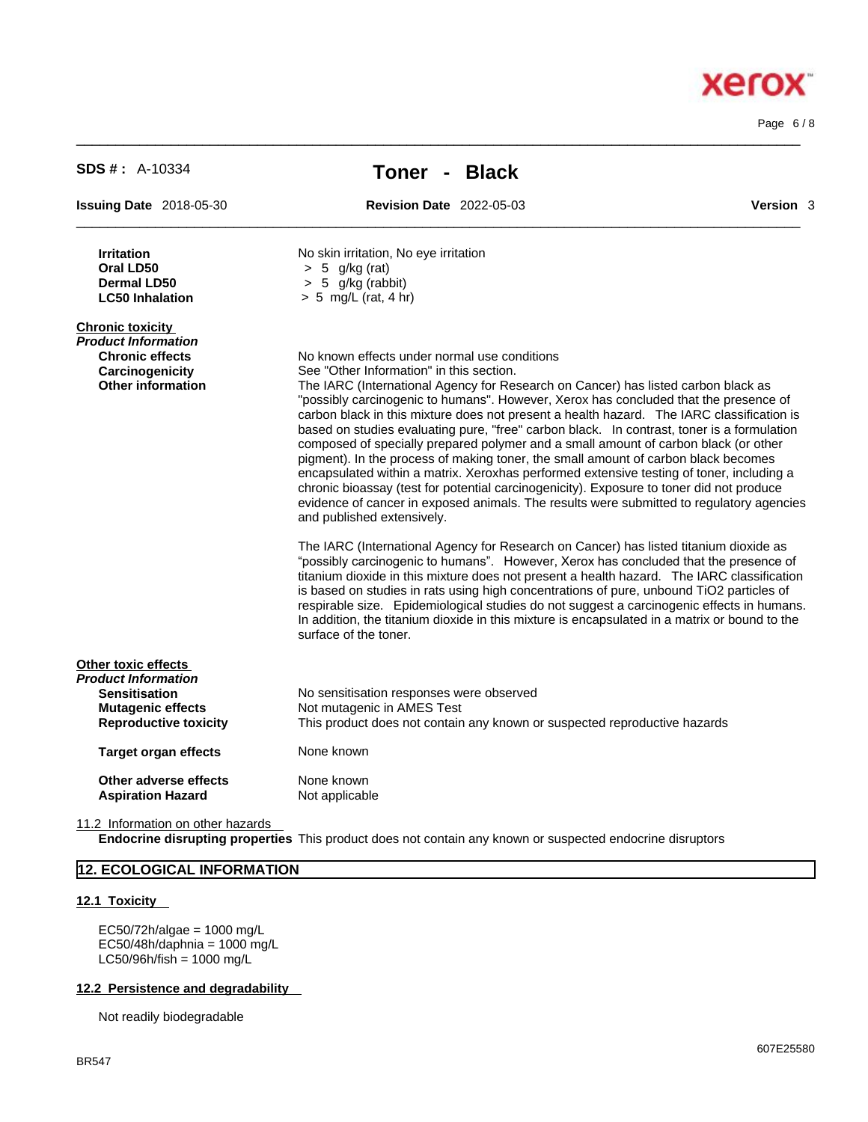Page 6 / 8

**Xerox** 

| <b>SDS #:</b> A-10334                                                                                                   | Toner - Black                                                                                                                                                                                                                                                                                                                                                                                                                                                                                                                                                                                                                                                                                                                                                                                                                                                                                                                                                                                                                                                                                                                                                                                                                                                                                                                                                                                                                                                                                                                                                     |           |
|-------------------------------------------------------------------------------------------------------------------------|-------------------------------------------------------------------------------------------------------------------------------------------------------------------------------------------------------------------------------------------------------------------------------------------------------------------------------------------------------------------------------------------------------------------------------------------------------------------------------------------------------------------------------------------------------------------------------------------------------------------------------------------------------------------------------------------------------------------------------------------------------------------------------------------------------------------------------------------------------------------------------------------------------------------------------------------------------------------------------------------------------------------------------------------------------------------------------------------------------------------------------------------------------------------------------------------------------------------------------------------------------------------------------------------------------------------------------------------------------------------------------------------------------------------------------------------------------------------------------------------------------------------------------------------------------------------|-----------|
| <b>Issuing Date 2018-05-30</b>                                                                                          | <b>Revision Date</b> 2022-05-03                                                                                                                                                                                                                                                                                                                                                                                                                                                                                                                                                                                                                                                                                                                                                                                                                                                                                                                                                                                                                                                                                                                                                                                                                                                                                                                                                                                                                                                                                                                                   | Version 3 |
| <b>Irritation</b><br>Oral LD50<br><b>Dermal LD50</b><br><b>LC50 Inhalation</b>                                          | No skin irritation, No eye irritation<br>$> 5$ g/kg (rat)<br>$> 5$ g/kg (rabbit)<br>$> 5$ mg/L (rat, 4 hr)                                                                                                                                                                                                                                                                                                                                                                                                                                                                                                                                                                                                                                                                                                                                                                                                                                                                                                                                                                                                                                                                                                                                                                                                                                                                                                                                                                                                                                                        |           |
| <b>Chronic toxicity</b><br>Product Information<br><b>Chronic effects</b><br>Carcinogenicity<br><b>Other information</b> | No known effects under normal use conditions<br>See "Other Information" in this section.<br>The IARC (International Agency for Research on Cancer) has listed carbon black as<br>"possibly carcinogenic to humans". However, Xerox has concluded that the presence of<br>carbon black in this mixture does not present a health hazard. The IARC classification is<br>based on studies evaluating pure, "free" carbon black. In contrast, toner is a formulation<br>composed of specially prepared polymer and a small amount of carbon black (or other<br>pigment). In the process of making toner, the small amount of carbon black becomes<br>encapsulated within a matrix. Xeroxhas performed extensive testing of toner, including a<br>chronic bioassay (test for potential carcinogenicity). Exposure to toner did not produce<br>evidence of cancer in exposed animals. The results were submitted to regulatory agencies<br>and published extensively.<br>The IARC (International Agency for Research on Cancer) has listed titanium dioxide as<br>"possibly carcinogenic to humans". However, Xerox has concluded that the presence of<br>titanium dioxide in this mixture does not present a health hazard. The IARC classification<br>is based on studies in rats using high concentrations of pure, unbound TiO2 particles of<br>respirable size. Epidemiological studies do not suggest a carcinogenic effects in humans.<br>In addition, the titanium dioxide in this mixture is encapsulated in a matrix or bound to the<br>surface of the toner. |           |
| Other toxic effects<br>Product Information<br><b>Sensitisation</b>                                                      | No sensitisation responses were observed                                                                                                                                                                                                                                                                                                                                                                                                                                                                                                                                                                                                                                                                                                                                                                                                                                                                                                                                                                                                                                                                                                                                                                                                                                                                                                                                                                                                                                                                                                                          |           |
| <b>Mutagenic effects</b><br><b>Reproductive toxicity</b>                                                                | Not mutagenic in AMES Test<br>This product does not contain any known or suspected reproductive hazards                                                                                                                                                                                                                                                                                                                                                                                                                                                                                                                                                                                                                                                                                                                                                                                                                                                                                                                                                                                                                                                                                                                                                                                                                                                                                                                                                                                                                                                           |           |
| <b>Target organ effects</b>                                                                                             | None known                                                                                                                                                                                                                                                                                                                                                                                                                                                                                                                                                                                                                                                                                                                                                                                                                                                                                                                                                                                                                                                                                                                                                                                                                                                                                                                                                                                                                                                                                                                                                        |           |
| Other adverse effects<br><b>Aspiration Hazard</b>                                                                       | None known<br>Not applicable                                                                                                                                                                                                                                                                                                                                                                                                                                                                                                                                                                                                                                                                                                                                                                                                                                                                                                                                                                                                                                                                                                                                                                                                                                                                                                                                                                                                                                                                                                                                      |           |

 $\_$  ,  $\_$  ,  $\_$  ,  $\_$  ,  $\_$  ,  $\_$  ,  $\_$  ,  $\_$  ,  $\_$  ,  $\_$  ,  $\_$  ,  $\_$  ,  $\_$  ,  $\_$  ,  $\_$  ,  $\_$  ,  $\_$  ,  $\_$  ,  $\_$  ,  $\_$  ,  $\_$  ,  $\_$  ,  $\_$  ,  $\_$  ,  $\_$  ,  $\_$  ,  $\_$  ,  $\_$  ,  $\_$  ,  $\_$  ,  $\_$  ,  $\_$  ,  $\_$  ,  $\_$  ,  $\_$  ,  $\_$  ,  $\_$  ,

11.2 Information on other hazards

**Endocrine disrupting properties** This product does not contain any known or suspected endocrine disruptors

# **12. ECOLOGICAL INFORMATION**

#### **12.1 Toxicity**

EC50/72h/algae = 1000 mg/L  $EC50/48h/daphnia = 1000 mg/L$  $LC50/96h/fish = 1000 mg/L$ 

#### **12.2 Persistence and degradability**

Not readily biodegradable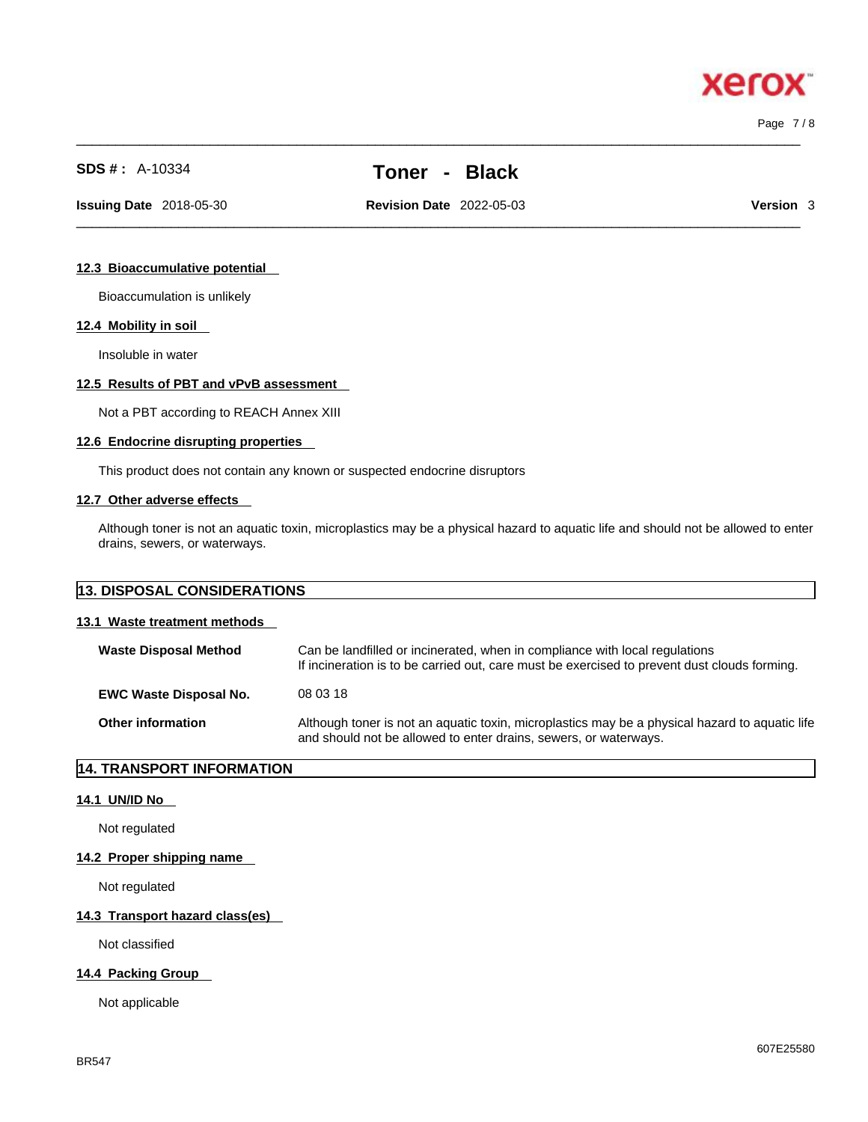Page 7 / 8

xero

# **SDS # :** A-10334 **Toner - Black**

 $\_$  ,  $\_$  ,  $\_$  ,  $\_$  ,  $\_$  ,  $\_$  ,  $\_$  ,  $\_$  ,  $\_$  ,  $\_$  ,  $\_$  ,  $\_$  ,  $\_$  ,  $\_$  ,  $\_$  ,  $\_$  ,  $\_$  ,  $\_$  ,  $\_$  ,  $\_$  ,  $\_$  ,  $\_$  ,  $\_$  ,  $\_$  ,  $\_$  ,  $\_$  ,  $\_$  ,  $\_$  ,  $\_$  ,  $\_$  ,  $\_$  ,  $\_$  ,  $\_$  ,  $\_$  ,  $\_$  ,  $\_$  ,  $\_$  ,

 $\_$  ,  $\_$  ,  $\_$  ,  $\_$  ,  $\_$  ,  $\_$  ,  $\_$  ,  $\_$  ,  $\_$  ,  $\_$  ,  $\_$  ,  $\_$  ,  $\_$  ,  $\_$  ,  $\_$  ,  $\_$  ,  $\_$  ,  $\_$  ,  $\_$  ,  $\_$  ,  $\_$  ,  $\_$  ,  $\_$  ,  $\_$  ,  $\_$  ,  $\_$  ,  $\_$  ,  $\_$  ,  $\_$  ,  $\_$  ,  $\_$  ,  $\_$  ,  $\_$  ,  $\_$  ,  $\_$  ,  $\_$  ,  $\_$  , **Issuing Date** 2018-05-30 **Revision Date** 2022-05-03 **Version** 3

#### **12.3 Bioaccumulative potential**

Bioaccumulation is unlikely

#### **12.4 Mobility in soil**

Insoluble in water

#### **12.5 Results of PBT and vPvB assessment**

Not a PBT according to REACH Annex XIII

#### **12.6 Endocrine disrupting properties**

This product does not contain any known or suspected endocrine disruptors

#### **12.7 Other adverse effects**

Although toner is not an aquatic toxin, microplastics may be a physical hazard to aquatic life and should not be allowed to enter drains, sewers, or waterways.

| <b>13. DISPOSAL CONSIDERATIONS</b> |                                                                                                                                                                             |  |  |  |  |
|------------------------------------|-----------------------------------------------------------------------------------------------------------------------------------------------------------------------------|--|--|--|--|
| 13.1 Waste treatment methods       |                                                                                                                                                                             |  |  |  |  |
| <b>Waste Disposal Method</b>       | Can be landfilled or incinerated, when in compliance with local regulations<br>If incineration is to be carried out, care must be exercised to prevent dust clouds forming. |  |  |  |  |
| <b>EWC Waste Disposal No.</b>      | 08 03 18                                                                                                                                                                    |  |  |  |  |

**Other information** Although toner is not an aquatic toxin, microplastics may be a physical hazard to aquatic life and should not be allowed to enter drains, sewers, or waterways.

# **14. TRANSPORT INFORMATION**

#### **14.1 UN/ID No**

Not regulated

#### **14.2 Proper shipping name**

Not regulated

#### **14.3 Transport hazard class(es)**

Not classified

#### **14.4 Packing Group**

Not applicable